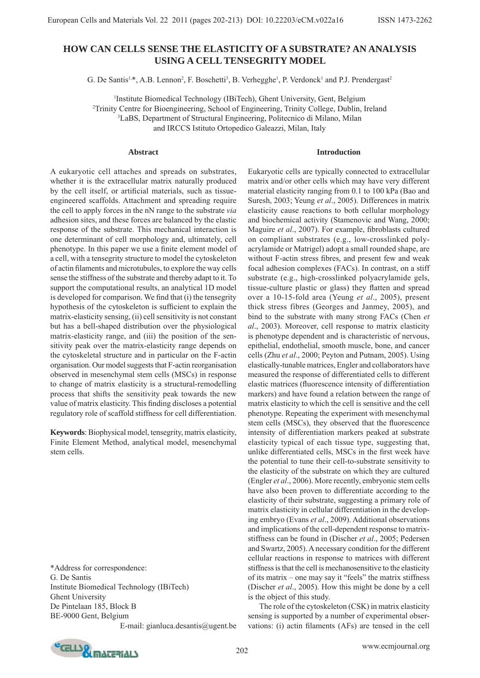# **HOW CAN CELLS SENSE THE ELASTICITY OF A SUBSTRATE? AN ANALYSIS USING A CELL TENSEGRITY MODEL**

G. De Santis<sup>1,\*</sup>, A.B. Lennon<sup>2</sup>, F. Boschetti<sup>3</sup>, B. Verhegghe<sup>1</sup>, P. Verdonck<sup>1</sup> and P.J. Prendergast<sup>2</sup>

<sup>1</sup>Institute Biomedical Technology (IBiTech), Ghent University, Gent, Belgium<br><sup>2</sup>Trinity Centre for Biograpesring, School of Engineering, Trinity College, Dublin Trinity Centre for Bioengineering, School of Engineering, Trinity College, Dublin, Ireland 3 LaBS, Department of Structural Engineering, Politecnico di Milano, Milan and IRCCS Istituto Ortopedico Galeazzi, Milan, Italy

#### **Abstract**

A eukaryotic cell attaches and spreads on substrates, whether it is the extracellular matrix naturally produced by the cell itself, or artificial materials, such as tissueengineered scaffolds. Attachment and spreading require the cell to apply forces in the nN range to the substrate *via* adhesion sites, and these forces are balanced by the elastic response of the substrate. This mechanical interaction is one determinant of cell morphology and, ultimately, cell phenotype. In this paper we use a finite element model of a cell, with a tensegrity structure to model the cytoskeleton of actin filaments and microtubules, to explore the way cells sense the stiffness of the substrate and thereby adapt to it. To support the computational results, an analytical 1D model is developed for comparison. We find that (i) the tensegrity hypothesis of the cytoskeleton is sufficient to explain the matrix-elasticity sensing, (ii) cell sensitivity is not constant but has a bell-shaped distribution over the physiological matrix-elasticity range, and (iii) the position of the sensitivity peak over the matrix-elasticity range depends on the cytoskeletal structure and in particular on the F-actin organisation. Our model suggests that F-actin reorganisation observed in mesenchymal stem cells (MSCs) in response to change of matrix elasticity is a structural-remodelling process that shifts the sensitivity peak towards the new value of matrix elasticity. This finding discloses a potential regulatory role of scaffold stiffness for cell differentiation.

**Keywords**: Biophysical model, tensegrity, matrix elasticity, Finite Element Method, analytical model, mesenchymal stem cells.

\*Address for correspondence: G. De Santis Institute Biomedical Technology (IBiTech) Ghent University De Pintelaan 185, Block B BE-9000 Gent, Belgium

E-mail: gianluca.desantis@ugent.be

Eukaryotic cells are typically connected to extracellular matrix and/or other cells which may have very different material elasticity ranging from 0.1 to 100 kPa (Bao and Suresh, 2003; Yeung *et al*., 2005). Differences in matrix elasticity cause reactions to both cellular morphology and biochemical activity (Stamenovic and Wang, 2000; Maguire et al., 2007). For example, fibroblasts cultured on compliant substrates (e.g., low-crosslinked polyacrylamide or Matrigel) adopt a small rounded shape, are without F-actin stress fibres, and present few and weak focal adhesion complexes (FACs). In contrast, on a stiff substrate (e.g., high-crosslinked polyacrylamide gels, tissue-culture plastic or glass) they flatten and spread over a 10-15-fold area (Yeung *et al*., 2005), present thick stress fibres (Georges and Janmey, 2005), and bind to the substrate with many strong FACs (Chen *et al*., 2003). Moreover, cell response to matrix elasticity is phenotype dependent and is characteristic of nervous, epithelial, endothelial, smooth muscle, bone, and cancer cells (Zhu *et al*., 2000; Peyton and Putnam, 2005). Using elastically-tunable matrices, Engler and collaborators have measured the response of differentiated cells to different elastic matrices (fluorescence intensity of differentiation markers) and have found a relation between the range of matrix elasticity to which the cell is sensitive and the cell phenotype. Repeating the experiment with mesenchymal stem cells (MSCs), they observed that the fluorescence intensity of differentiation markers peaked at substrate elasticity typical of each tissue type, suggesting that, unlike differentiated cells, MSCs in the first week have the potential to tune their cell-to-substrate sensitivity to the elasticity of the substrate on which they are cultured (Engler *et al*., 2006). More recently, embryonic stem cells have also been proven to differentiate according to the elasticity of their substrate, suggesting a primary role of matrix elasticity in cellular differentiation in the developing embryo (Evans *et al*., 2009). Additional observations and implications of the cell-dependent response to matrixstiffness can be found in (Discher *et al*., 2005; Pedersen and Swartz, 2005). A necessary condition for the different cellular reactions in response to matrices with different stiffness is that the cell is mechanosensitive to the elasticity of its matrix – one may say it "feels" the matrix stiffness (Discher *et al*., 2005). How this might be done by a cell is the object of this study.

**Introduction**

 The role of the cytoskeleton (CSK) in matrix elasticity sensing is supported by a number of experimental observations: (i) actin filaments (AFs) are tensed in the cell

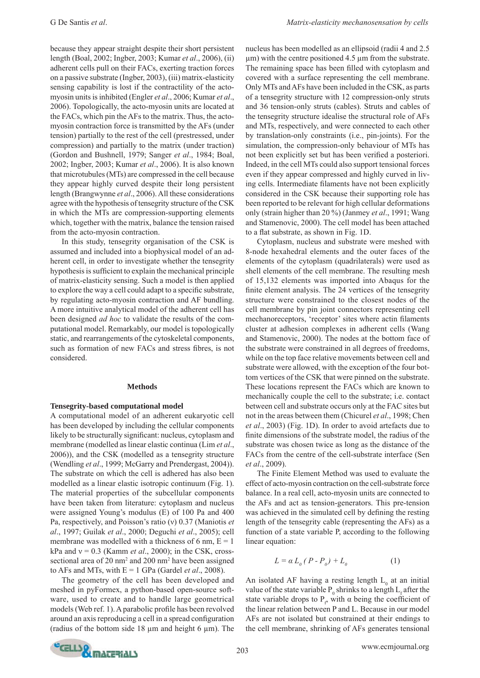because they appear straight despite their short persistent length (Boal, 2002; Ingber, 2003; Kumar *et al*., 2006), (ii) adherent cells pull on their FACs, exerting traction forces on a passive substrate (Ingber, 2003), (iii) matrix-elasticity sensing capability is lost if the contractility of the actomyosin units is inhibited (Engler *et al*., 2006; Kumar *et al*., 2006). Topologically, the acto-myosin units are located at the FACs, which pin the AFs to the matrix. Thus, the actomyosin contraction force is transmitted by the AFs (under tension) partially to the rest of the cell (prestressed, under compression) and partially to the matrix (under traction) (Gordon and Bushnell, 1979; Sanger *et al*., 1984; Boal, 2002; Ingber, 2003; Kumar *et al*., 2006). It is also known that microtubules (MTs) are compressed in the cell because they appear highly curved despite their long persistent length (Brangwynne *et al*., 2006). All these considerations agree with the hypothesis of tensegrity structure of the CSK in which the MTs are compression-supporting elements which, together with the matrix, balance the tension raised from the acto-myosin contraction.

 In this study, tensegrity organisation of the CSK is assumed and included into a biophysical model of an adherent cell, in order to investigate whether the tensegrity hypothesis is sufficient to explain the mechanical principle of matrix-elasticity sensing. Such a model is then applied to explore the way a cell could adapt to a specific substrate, by regulating acto-myosin contraction and AF bundling. A more intuitive analytical model of the adherent cell has been designed *ad hoc* to validate the results of the computational model. Remarkably, our model is topologically static, and rearrangements of the cytoskeletal components, such as formation of new FACs and stress fibres, is not considered.

#### **Methods**

#### **Tensegrity-based computational model**

A computational model of an adherent eukaryotic cell has been developed by including the cellular components likely to be structurally significant: nucleus, cytoplasm and membrane (modelled as linear elastic continua (Lim *et al*., 2006)), and the CSK (modelled as a tensegrity structure (Wendling *et al*., 1999; McGarry and Prendergast, 2004)). The substrate on which the cell is adhered has also been modelled as a linear elastic isotropic continuum (Fig. 1). The material properties of the subcellular components have been taken from literature: cytoplasm and nucleus were assigned Young's modulus (E) of 100 Pa and 400 Pa, respectively, and Poisson's ratio (ν) 0.37 (Maniotis *et al*., 1997; Guilak *et al*., 2000; Deguchi *et al*., 2005); cell membrane was modelled with a thickness of 6 nm,  $E = 1$ kPa and  $v = 0.3$  (Kamm *et al.*, 2000); in the CSK, crosssectional area of 20 nm<sup>2</sup> and 200 nm<sup>2</sup> have been assigned to AFs and MTs, with  $E = 1$  GPa (Gardel *et al.*, 2008).

 The geometry of the cell has been developed and meshed in pyFormex, a python-based open-source software, used to create and to handle large geometrical models (Web ref. 1). A parabolic profile has been revolved around an axis reproducing a cell in a spread configuration (radius of the bottom side 18 μm and height 6 μm). The nucleus has been modelled as an ellipsoid (radii 4 and 2.5 μm) with the centre positioned 4.5 μm from the substrate. The remaining space has been filled with cytoplasm and covered with a surface representing the cell membrane. Only MTs and AFs have been included in the CSK, as parts of a tensegrity structure with 12 compression-only struts and 36 tension-only struts (cables). Struts and cables of the tensegrity structure idealise the structural role of AFs and MTs, respectively, and were connected to each other by translation-only constraints (i.e., pin-joints). For the simulation, the compression-only behaviour of MTs has not been explicitly set but has been verified a posteriori. Indeed, in the cell MTs could also support tensional forces even if they appear compressed and highly curved in living cells. Intermediate filaments have not been explicitly considered in the CSK because their supporting role has been reported to be relevant for high cellular deformations only (strain higher than 20 %) (Janmey *et al*., 1991; Wang and Stamenovic, 2000). The cell model has been attached to a flat substrate, as shown in Fig. 1D.

 Cytoplasm, nucleus and substrate were meshed with 8-node hexahedral elements and the outer faces of the elements of the cytoplasm (quadrilaterals) were used as shell elements of the cell membrane. The resulting mesh of 15,132 elements was imported into Abaqus for the finite element analysis. The 24 vertices of the tensegrity structure were constrained to the closest nodes of the cell membrane by pin joint connectors representing cell mechanoreceptors, 'receptor' sites where actin filaments cluster at adhesion complexes in adherent cells (Wang and Stamenovic, 2000). The nodes at the bottom face of the substrate were constrained in all degrees of freedoms, while on the top face relative movements between cell and substrate were allowed, with the exception of the four bottom vertices of the CSK that were pinned on the substrate. These locations represent the FACs which are known to mechanically couple the cell to the substrate; i.e. contact between cell and substrate occurs only at the FAC sites but not in the areas between them (Chicurel *et al*., 1998; Chen *et al*., 2003) (Fig. 1D). In order to avoid artefacts due to finite dimensions of the substrate model, the radius of the substrate was chosen twice as long as the distance of the FACs from the centre of the cell-substrate interface (Sen *et al*., 2009).

 The Finite Element Method was used to evaluate the effect of acto-myosin contraction on the cell-substrate force balance. In a real cell, acto-myosin units are connected to the AFs and act as tension-generators. This pre-tension was achieved in the simulated cell by defining the resting length of the tensegrity cable (representing the AFs) as a function of a state variable P, according to the following linear equation:

$$
L = \alpha L_0 (P - P_0) + L_0 \tag{1}
$$

An isolated AF having a resting length  $L_0$  at an initial value of the state variable  $P_0$  shrinks to a length  $L_f$  after the state variable drops to  $P<sub>f</sub>$  with  $\alpha$  being the coefficient of the linear relation between P and L. Because in our model AFs are not isolated but constrained at their endings to the cell membrane, shrinking of AFs generates tensional

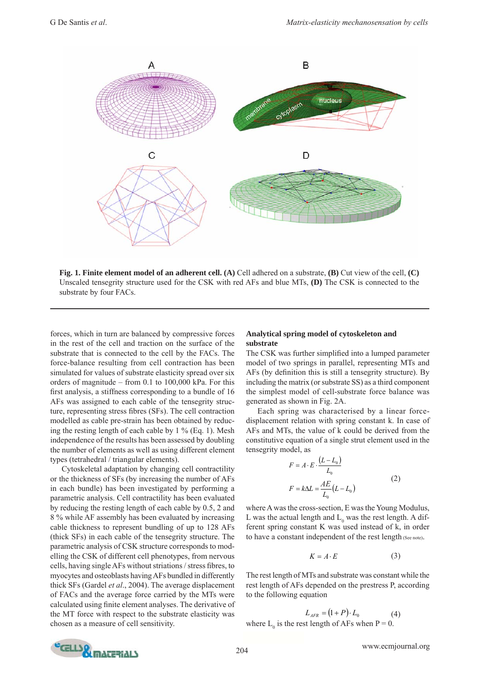

**Fig. 1. Finite element model of an adherent cell. (A)** Cell adhered on a substrate, **(B)** Cut view of the cell, **(C)** Unscaled tensegrity structure used for the CSK with red AFs and blue MTs, **(D)** The CSK is connected to the substrate by four FACs.

forces, which in turn are balanced by compressive forces in the rest of the cell and traction on the surface of the substrate that is connected to the cell by the FACs. The force-balance resulting from cell contraction has been simulated for values of substrate elasticity spread over six orders of magnitude – from 0.1 to 100,000 kPa. For this first analysis, a stiffness corresponding to a bundle of 16 AFs was assigned to each cable of the tensegrity structure, representing stress fibres (SFs). The cell contraction modelled as cable pre-strain has been obtained by reducing the resting length of each cable by  $1\%$  (Eq. 1). Mesh independence of the results has been assessed by doubling the number of elements as well as using different element types (tetrahedral / triangular elements).

 Cytoskeletal adaptation by changing cell contractility or the thickness of SFs (by increasing the number of AFs in each bundle) has been investigated by performing a parametric analysis. Cell contractility has been evaluated by reducing the resting length of each cable by 0.5, 2 and 8 % while AF assembly has been evaluated by increasing cable thickness to represent bundling of up to 128 AFs (thick SFs) in each cable of the tensegrity structure. The parametric analysis of CSK structure corresponds to modelling the CSK of different cell phenotypes, from nervous cells, having single AFs without striations / stress fibres, to myocytes and osteoblasts having AFs bundled in differently thick SFs (Gardel *et al*., 2004). The average displacement of FACs and the average force carried by the MTs were calculated using finite element analyses. The derivative of the MT force with respect to the substrate elasticity was chosen as a measure of cell sensitivity.

## **Analytical spring model of cytoskeleton and substrate**

The CSK was further simplified into a lumped parameter model of two springs in parallel, representing MTs and AFs (by definition this is still a tensegrity structure). By including the matrix (or substrate SS) as a third component the simplest model of cell-substrate force balance was generated as shown in Fig. 2A.

 Each spring was characterised by a linear forcedisplacement relation with spring constant k. In case of AFs and MTs, the value of k could be derived from the constitutive equation of a single strut element used in the tensegrity model, as

$$
F = A \cdot E \cdot \frac{(L - L_0)}{L_0}
$$
  

$$
F = k\Delta L = \frac{AE}{L_0}(L - L_0)
$$
 (2)

where A was the cross-section, E was the Young Modulus, L was the actual length and  $L_0$  was the rest length. A different spring constant K was used instead of k, in order to have a constant independent of the rest length (See note).

$$
K = A \cdot E \tag{3}
$$

The rest length of MTs and substrate was constant while the rest length of AFs depended on the prestress P, according to the following equation

$$
L_{AFR} = (1 + P) \cdot L_0
$$
 (4)  
where L<sub>0</sub> is the rest length of AFs when P = 0.

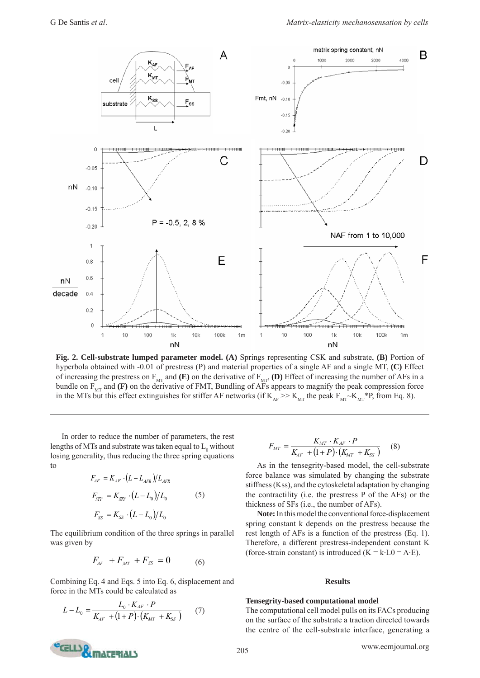

**Fig. 2. Cell-substrate lumped parameter model. (A)** Springs representing CSK and substrate, **(B)** Portion of hyperbola obtained with -0.01 of prestress (P) and material properties of a single AF and a single MT, **(C)** Effect of increasing the prestress on  $F_{MT}$  and **(E)** on the derivative of  $F_{MP}$  **(D)** Effect of increasing the number of AFs in a bundle on  $F_{MT}$  and **(F)** on the derivative of FMT, Bundling of AFs appears to magnify the peak compression force in the MTs but this effect extinguishes for stiffer AF networks (if  $K_{AF} \gg K_{MT}$  the peak  $F_{MT} \sim K_{MT} * P$ , from Eq. 8).

 In order to reduce the number of parameters, the rest lengths of MTs and substrate was taken equal to  $\mathop{\hbox{\rm L}}\nolimits_0$  without losing generality, thus reducing the three spring equations to

$$
F_{AF} = K_{AF} \cdot (L - L_{AFR}) / L_{AFR}
$$
  
\n
$$
F_{MT} = K_{MT} \cdot (L - L_0) / L_0
$$
 (5)  
\n
$$
F_{SS} = K_{SS} \cdot (L - L_0) / L_0
$$

The equilibrium condition of the three springs in parallel was given by

$$
F_{AF} + F_{MT} + F_{SS} = 0 \tag{6}
$$

Combining Eq. 4 and Eqs. 5 into Eq. 6, displacement and force in the MTs could be calculated as

$$
L - L_0 = \frac{L_0 \cdot K_{AF} \cdot P}{K_{AF} + (1 + P) \cdot (K_{MT} + K_{SS})}
$$
(7)

$$
F_{MT} = \frac{K_{MT} \cdot K_{AF} \cdot P}{K_{AF} + (1+P) \cdot (K_{MT} + K_{SS})}
$$
 (8)

 As in the tensegrity-based model, the cell-substrate force balance was simulated by changing the substrate stiffness (Kss), and the cytoskeletal adaptation by changing the contractility (i.e. the prestress P of the AFs) or the thickness of SFs (i.e., the number of AFs).

**Note:** In this model the conventional force-displacement spring constant k depends on the prestress because the rest length of AFs is a function of the prestress (Eq. 1). Therefore, a different prestress-independent constant K (force-strain constant) is introduced  $(K = k \cdot L0 = A \cdot E)$ .

#### **Results**

#### **Tensegrity-based computational model**

The computational cell model pulls on its FACs producing on the surface of the substrate a traction directed towards the centre of the cell-substrate interface, generating a

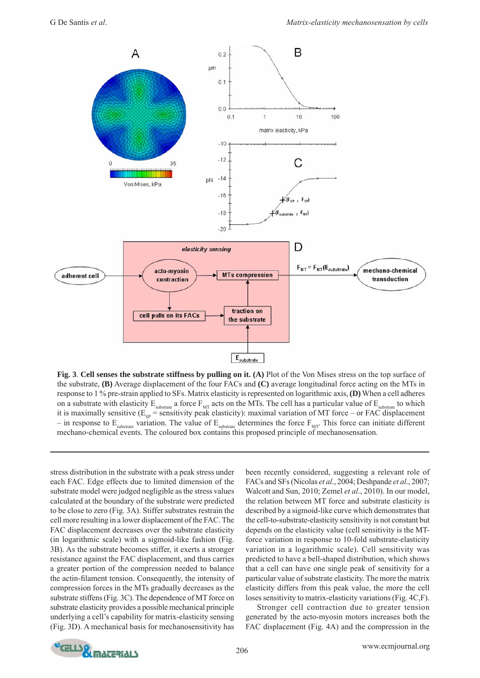

**Fig. 3**. **Cell senses the substrate stiffness by pulling on it. (A)** Plot of the Von Mises stress on the top surface of the substrate, **(B)** Average displacement of the four FACs and **(C)** average longitudinal force acting on the MTs in response to 1 % pre-strain applied to SFs. Matrix elasticity is represented on logarithmic axis, **(D)** When a cell adheres on a substrate with elasticity  $E_{substrate}$  a force  $F_{MT}$  acts on the MTs. The cell has a particular value of  $E_{substrate}$  to which it is maximally sensitive  $(E_{sp}$  = sensitivity peak elasticity): maximal variation of MT force – or FAC displacement – in response to  $E_{substrate}$  variation. The value of  $E_{substrate}$  determines the force  $F_{MT}$ . This force can initiate different mechano-chemical events. The coloured box contains this proposed principle of mechanosensation.

stress distribution in the substrate with a peak stress under each FAC. Edge effects due to limited dimension of the substrate model were judged negligible as the stress values calculated at the boundary of the substrate were predicted to be close to zero (Fig. 3A). Stiffer substrates restrain the cell more resulting in a lower displacement of the FAC. The FAC displacement decreases over the substrate elasticity (in logarithmic scale) with a sigmoid-like fashion (Fig. 3B). As the substrate becomes stiffer, it exerts a stronger resistance against the FAC displacement, and thus carries a greater portion of the compression needed to balance the actin-filament tension. Consequently, the intensity of compression forces in the MTs gradually decreases as the substrate stiffens (Fig. 3C). The dependence of MT force on substrate elasticity provides a possible mechanical principle underlying a cell's capability for matrix-elasticity sensing (Fig. 3D). A mechanical basis for mechanosensitivity has been recently considered, suggesting a relevant role of FACs and SFs (Nicolas *et al*., 2004; Deshpande *et al*., 2007; Walcott and Sun, 2010; Zemel *et al*., 2010). In our model, the relation between MT force and substrate elasticity is described by a sigmoid-like curve which demonstrates that the cell-to-substrate-elasticity sensitivity is not constant but depends on the elasticity value (cell sensitivity is the MTforce variation in response to 10-fold substrate-elasticity variation in a logarithmic scale). Cell sensitivity was predicted to have a bell-shaped distribution, which shows that a cell can have one single peak of sensitivity for a particular value of substrate elasticity. The more the matrix elasticity differs from this peak value, the more the cell loses sensitivity to matrix-elasticity variations (Fig. 4C,F).

 Stronger cell contraction due to greater tension generated by the acto-myosin motors increases both the FAC displacement (Fig. 4A) and the compression in the

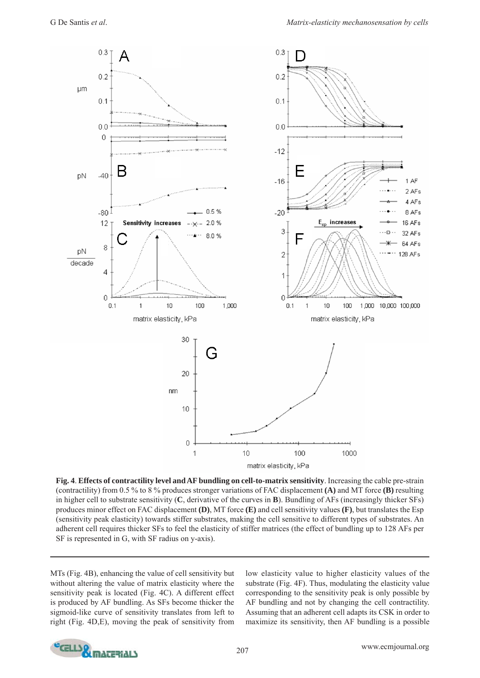

**Fig. 4**. **Effects of contractility level and AF bundling on cell-to-matrix sensitivity**. Increasing the cable pre-strain (contractility) from 0.5 % to 8 % produces stronger variations of FAC displacement **(A)** and MT force **(B)** resulting in higher cell to substrate sensitivity (**C**, derivative of the curves in **B**). Bundling of AFs (increasingly thicker SFs) produces minor effect on FAC displacement **(D)**, MT force **(E)** and cell sensitivity values **(F)**, but translates the Esp (sensitivity peak elasticity) towards stiffer substrates, making the cell sensitive to different types of substrates. An adherent cell requires thicker SFs to feel the elasticity of stiffer matrices (the effect of bundling up to 128 AFs per SF is represented in G, with SF radius on y-axis).

MTs (Fig. 4B), enhancing the value of cell sensitivity but without altering the value of matrix elasticity where the sensitivity peak is located (Fig. 4C). A different effect is produced by AF bundling. As SFs become thicker the sigmoid-like curve of sensitivity translates from left to right (Fig. 4D,E), moving the peak of sensitivity from low elasticity value to higher elasticity values of the substrate (Fig. 4F). Thus, modulating the elasticity value corresponding to the sensitivity peak is only possible by AF bundling and not by changing the cell contractility. Assuming that an adherent cell adapts its CSK in order to maximize its sensitivity, then AF bundling is a possible

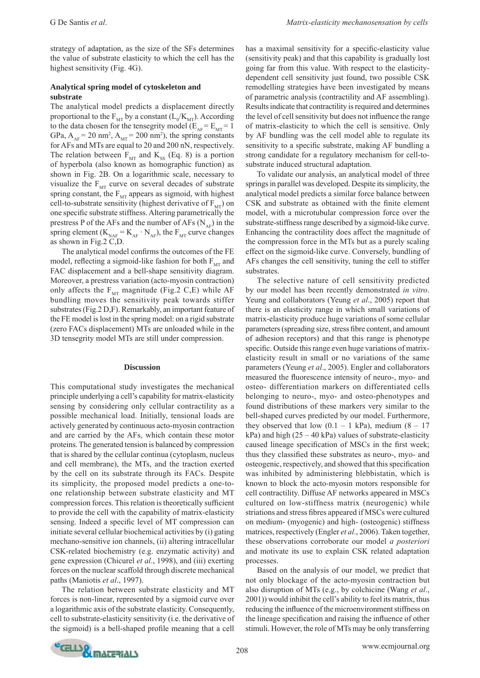strategy of adaptation, as the size of the SFs determines the value of substrate elasticity to which the cell has the highest sensitivity (Fig. 4G).

## **Analytical spring model of cytoskeleton and substrate**

The analytical model predicts a displacement directly proportional to the  $F_{MT}$  by a constant ( $L_0/K_{MT}$ ). According to the data chosen for the tensegrity model ( $E_{AF} = E_{MT} = 1$ GPa,  $A_{AF}$  = 20 nm<sup>2</sup>,  $A_{MT}$  = 200 nm<sup>2</sup>), the spring constants for AFs and MTs are equal to 20 and 200 nN, respectively. The relation between  $F_{MT}$  and  $K_{SS}$  (Eq. 8) is a portion of hyperbola (also known as homographic function) as shown in Fig. 2B. On a logarithmic scale, necessary to visualize the  $F_{MT}$  curve on several decades of substrate spring constant, the  $F_{MT}$  appears as sigmoid, with highest cell-to-substrate sensitivity (highest derivative of  $F_{\text{MT}}$ ) on one specific substrate stiffness. Altering parametrically the prestress P of the AFs and the number of AFs  $(N_{AF})$  in the spring element ( $K_{NAF} = K_{AF} \cdot N_{AF}$ ), the  $F_{MT}$  curve changes as shown in Fig.2 C,D.

The analytical model confirms the outcomes of the FE model, reflecting a sigmoid-like fashion for both  $F_{\text{M}T}$  and FAC displacement and a bell-shape sensitivity diagram. Moreover, a prestress variation (acto-myosin contraction) only affects the  $F_{MT}$  magnitude (Fig.2 C,E) while AF bundling moves the sensitivity peak towards stiffer substrates (Fig.2 D,F). Remarkably, an important feature of the FE model is lost in the spring model: on a rigid substrate (zero FACs displacement) MTs are unloaded while in the 3D tensegrity model MTs are still under compression.

#### **Discussion**

This computational study investigates the mechanical principle underlying a cell's capability for matrix-elasticity sensing by considering only cellular contractility as a possible mechanical load. Initially, tensional loads are actively generated by continuous acto-myosin contraction and are carried by the AFs, which contain these motor proteins. The generated tension is balanced by compression that is shared by the cellular continua (cytoplasm, nucleus and cell membrane), the MTs, and the traction exerted by the cell on its substrate through its FACs. Despite its simplicity, the proposed model predicts a one-toone relationship between substrate elasticity and MT compression forces. This relation is theoretically sufficient to provide the cell with the capability of matrix-elasticity sensing. Indeed a specific level of MT compression can initiate several cellular biochemical activities by (i) gating mechano-sensitive ion channels, (ii) altering intracellular CSK-related biochemistry (e.g. enzymatic activity) and gene expression (Chicurel *et al*., 1998), and (iii) exerting forces on the nuclear scaffold through discrete mechanical paths (Maniotis *et al*., 1997).

 The relation between substrate elasticity and MT forces is non-linear, represented by a sigmoid curve over a logarithmic axis of the substrate elasticity. Consequently, cell to substrate-elasticity sensitivity (i.e. the derivative of the sigmoid) is a bell-shaped profile meaning that a cell has a maximal sensitivity for a specific-elasticity value (sensitivity peak) and that this capability is gradually lost going far from this value. With respect to the elasticitydependent cell sensitivity just found, two possible CSK remodelling strategies have been investigated by means of parametric analysis (contractility and AF assembling). Results indicate that contractility is required and determines the level of cell sensitivity but does not influence the range of matrix-elasticity to which the cell is sensitive. Only by AF bundling was the cell model able to regulate its sensitivity to a specific substrate, making AF bundling a strong candidate for a regulatory mechanism for cell-tosubstrate induced structural adaptation.

 To validate our analysis, an analytical model of three springs in parallel was developed. Despite its simplicity, the analytical model predicts a similar force balance between CSK and substrate as obtained with the finite element model, with a microtubular compression force over the substrate-stiffness range described by a sigmoid-like curve. Enhancing the contractility does affect the magnitude of the compression force in the MTs but as a purely scaling effect on the sigmoid-like curve. Conversely, bundling of AFs changes the cell sensitivity, tuning the cell to stiffer substrates.

 The selective nature of cell sensitivity predicted by our model has been recently demonstrated *in vitro*. Yeung and collaborators (Yeung *et al*., 2005) report that there is an elasticity range in which small variations of matrix-elasticity produce huge variations of some cellular parameters (spreading size, stress fibre content, and amount of adhesion receptors) and that this range is phenotype specific. Outside this range even huge variations of matrixelasticity result in small or no variations of the same parameters (Yeung *et al*., 2005). Engler and collaborators measured the fluorescence intensity of neuro-, myo- and osteo- differentiation markers on differentiated cells belonging to neuro-, myo- and osteo-phenotypes and found distributions of these markers very similar to the bell-shaped curves predicted by our model. Furthermore, they observed that low  $(0.1 - 1 \text{ kPa})$ , medium  $(8 - 17$  $kPa$ ) and high (25 – 40 kPa) values of substrate-elasticity caused lineage specification of MSCs in the first week; thus they classified these substrates as neuro-, myo- and osteogenic, respectively, and showed that this specification was inhibited by administering blebbistatin, which is known to block the acto-myosin motors responsible for cell contractility. Diffuse AF networks appeared in MSCs cultured on low-stiffness matrix (neurogenic) while striations and stress fibres appeared if MSCs were cultured on medium- (myogenic) and high- (osteogenic) stiffness matrices, respectively (Engler *et al*., 2006). Taken together, these observations corroborate our model *a posteriori*  and motivate its use to explain CSK related adaptation processes.

 Based on the analysis of our model, we predict that not only blockage of the acto-myosin contraction but also disruption of MTs (e.g., by colchicine (Wang *et al*., 2001)) would inhibit the cell's ability to feel its matrix, thus reducing the influence of the microenvironment stiffness on the lineage specification and raising the influence of other stimuli. However, the role of MTs may be only transferring

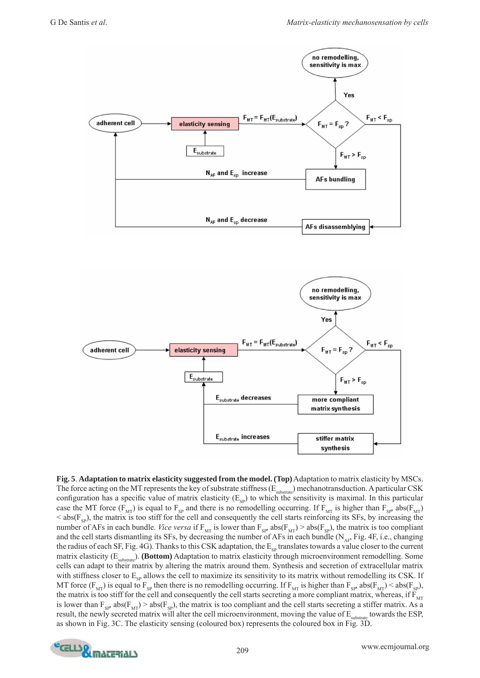

**Fig. 5**. **Adaptation to matrix elasticity suggested from the model. (Top)** Adaptation to matrix elasticity by MSCs. The force acting on the MT represents the key of substrate stiffness  $(E_{substack})$  mechanotransduction. A particular CSK configuration has a specific value of matrix elasticity ( $E_{sp}$ ) to which the sensitivity is maximal. In this particular case the MT force ( $F_{MT}$ ) is equal to  $F_{SP}$  and there is no remodelling occurring. If  $F_{MT}$  is higher than  $F_{SP}$  abs( $F_{MT}$ )  $\leq$  abs( $F_{sp}$ ), the matrix is too stiff for the cell and consequently the cell starts reinforcing its SFs, by increasing the number of AFs in each bundle. *Vice versa* if  $F_{MT}$  is lower than  $F_{SP}$  abs( $F_{MT}$ ) > abs( $F_{SP}$ ), the matrix is too compliant and the cell starts dismantling its SFs, by decreasing the number of AFs in each bundle ( $N_{AF}$ , Fig. 4F, i.e., changing the radius of each SF, Fig. 4G). Thanks to this CSK adaptation, the  $E_{sp}$  translates towards a value closer to the current matrix elasticity  $(E_{\text{substrate}})$ . **(Bottom)** Adaptation to matrix elasticity through microenvironment remodelling. Some cells can adapt to their matrix by altering the matrix around them. Synthesis and secretion of extracellular matrix with stiffness closer to  $E_{SP}$  allows the cell to maximize its sensitivity to its matrix without remodelling its CSK. If MT force ( $F_{MT}$ ) is equal to  $F_{SP}$  then there is no remodelling occurring. If  $F_{MT}$  is higher than  $F_{SP}$  abs( $F_{MT}$ ) < abs( $F_{SP}$ ), the matrix is too stiff for the cell and consequently the cell starts secreting a more compliant matrix, whereas, if  $F_{MT}$ is lower than  $F_{SP}$  abs( $F_{MP}$ ) > abs( $F_{SP}$ ), the matrix is too compliant and the cell starts secreting a stiffer matrix. As a result, the newly secreted matrix will alter the cell microenvironment, moving the value of  $E_{\text{substrate}}$  towards the ESP, as shown in Fig. 3C. The elasticity sensing (coloured box) represents the coloured box in Fig. 3D.

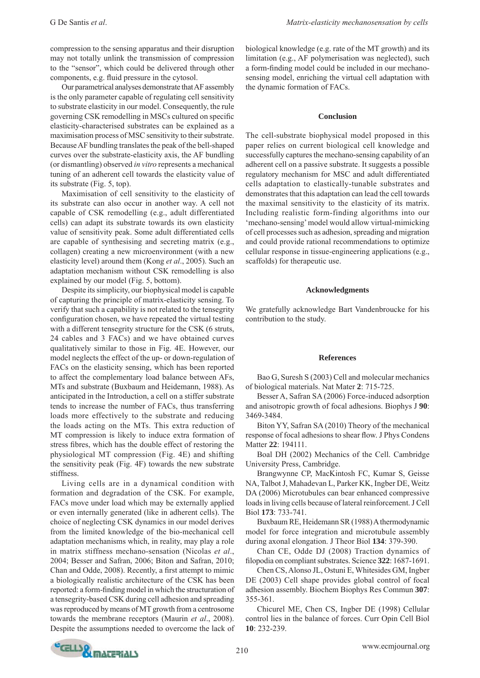compression to the sensing apparatus and their disruption may not totally unlink the transmission of compression to the "sensor", which could be delivered through other components, e.g. fluid pressure in the cytosol.

 Our parametrical analyses demonstrate that AF assembly is the only parameter capable of regulating cell sensitivity to substrate elasticity in our model. Consequently, the rule governing CSK remodelling in MSCs cultured on specific elasticity-characterised substrates can be explained as a maximisation process of MSC sensitivity to their substrate. Because AF bundling translates the peak of the bell-shaped curves over the substrate-elasticity axis, the AF bundling (or dismantling) observed *in vitro* represents a mechanical tuning of an adherent cell towards the elasticity value of its substrate (Fig. 5, top).

 Maximisation of cell sensitivity to the elasticity of its substrate can also occur in another way. A cell not capable of CSK remodelling (e.g., adult differentiated cells) can adapt its substrate towards its own elasticity value of sensitivity peak. Some adult differentiated cells are capable of synthesising and secreting matrix (e.g., collagen) creating a new microenvironment (with a new elasticity level) around them (Kong *et al*., 2005). Such an adaptation mechanism without CSK remodelling is also explained by our model (Fig. 5, bottom).

 Despite its simplicity, our biophysical model is capable of capturing the principle of matrix-elasticity sensing. To verify that such a capability is not related to the tensegrity configuration chosen, we have repeated the virtual testing with a different tensegrity structure for the CSK (6 struts, 24 cables and 3 FACs) and we have obtained curves qualitatively similar to those in Fig. 4E. However, our model neglects the effect of the up- or down-regulation of FACs on the elasticity sensing, which has been reported to affect the complementary load balance between AFs, MTs and substrate (Buxbaum and Heidemann, 1988). As anticipated in the Introduction, a cell on a stiffer substrate tends to increase the number of FACs, thus transferring loads more effectively to the substrate and reducing the loads acting on the MTs. This extra reduction of MT compression is likely to induce extra formation of stress fibres, which has the double effect of restoring the physiological MT compression (Fig. 4E) and shifting the sensitivity peak (Fig. 4F) towards the new substrate stiffness.

 Living cells are in a dynamical condition with formation and degradation of the CSK. For example, FACs move under load which may be externally applied or even internally generated (like in adherent cells). The choice of neglecting CSK dynamics in our model derives from the limited knowledge of the bio-mechanical cell adaptation mechanisms which, in reality, may play a role in matrix stiffness mechano-sensation (Nicolas *et al*., 2004; Besser and Safran, 2006; Biton and Safran, 2010; Chan and Odde, 2008). Recently, a first attempt to mimic a biologically realistic architecture of the CSK has been reported: a form-finding model in which the structuration of a tensegrity-based CSK during cell adhesion and spreading was reproduced by means of MT growth from a centrosome towards the membrane receptors (Maurin *et al*., 2008). Despite the assumptions needed to overcome the lack of biological knowledge (e.g. rate of the MT growth) and its limitation (e.g., AF polymerisation was neglected), such a form-finding model could be included in our mechanosensing model, enriching the virtual cell adaptation with the dynamic formation of FACs.

#### **Conclusion**

The cell-substrate biophysical model proposed in this paper relies on current biological cell knowledge and successfully captures the mechano-sensing capability of an adherent cell on a passive substrate. It suggests a possible regulatory mechanism for MSC and adult differentiated cells adaptation to elastically-tunable substrates and demonstrates that this adaptation can lead the cell towards the maximal sensitivity to the elasticity of its matrix. Including realistic form-finding algorithms into our 'mechano-sensing' model would allow virtual-mimicking of cell processes such as adhesion, spreading and migration and could provide rational recommendations to optimize cellular response in tissue-engineering applications (e.g., scaffolds) for therapeutic use.

### **Acknowledgments**

We gratefully acknowledge Bart Vandenbroucke for his contribution to the study.

#### **References**

 Bao G, Suresh S (2003) Cell and molecular mechanics of biological materials. Nat Mater **2**: 715-725.

 Besser A, Safran SA (2006) Force-induced adsorption and anisotropic growth of focal adhesions. Biophys J **90**: 3469-3484.

 Biton YY, Safran SA (2010) Theory of the mechanical response of focal adhesions to shear flow. J Phys Condens Matter **22**: 194111.

 Boal DH (2002) Mechanics of the Cell. Cambridge University Press, Cambridge.

 Brangwynne CP, MacKintosh FC, Kumar S, Geisse NA, Talbot J, Mahadevan L, Parker KK, Ingber DE, Weitz DA (2006) Microtubules can bear enhanced compressive loads in living cells because of lateral reinforcement. J Cell Biol **173**: 733-741.

 Buxbaum RE, Heidemann SR (1988) A thermodynamic model for force integration and microtubule assembly during axonal elongation. J Theor Biol **134**: 379-390.

 Chan CE, Odde DJ (2008) Traction dynamics of fi lopodia on compliant substrates. Science **322**: 1687-1691.

 Chen CS, Alonso JL, Ostuni E, Whitesides GM, Ingber DE (2003) Cell shape provides global control of focal adhesion assembly. Biochem Biophys Res Commun **307**: 355-361.

 Chicurel ME, Chen CS, Ingber DE (1998) Cellular control lies in the balance of forces. Curr Opin Cell Biol **10**: 232-239.

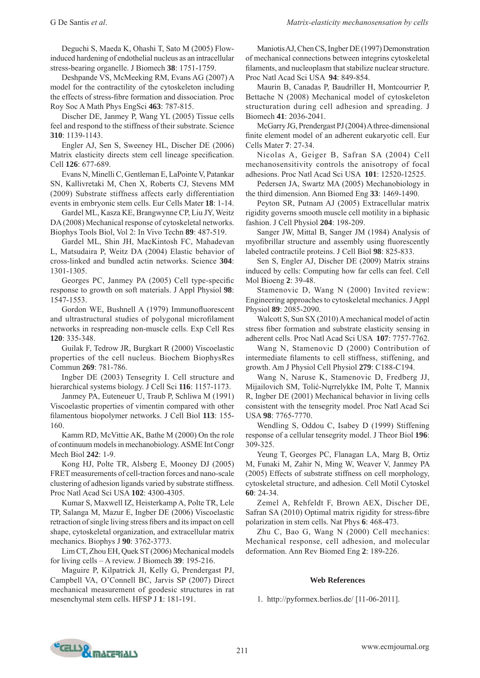Deguchi S, Maeda K, Ohashi T, Sato M (2005) Flowinduced hardening of endothelial nucleus as an intracellular stress-bearing organelle. J Biomech **38**: 1751-1759.

 Deshpande VS, McMeeking RM, Evans AG (2007) A model for the contractility of the cytoskeleton including the effects of stress-fibre formation and dissociation. Proc Roy Soc A Math Phys EngSci **463**: 787-815.

 Discher DE, Janmey P, Wang YL (2005) Tissue cells feel and respond to the stiffness of their substrate. Science **310**: 1139-1143.

 Engler AJ, Sen S, Sweeney HL, Discher DE (2006) Matrix elasticity directs stem cell lineage specification. Cell **126**: 677-689.

 Evans N, Minelli C, Gentleman E, LaPointe V, Patankar SN, Kallivretaki M, Chen X, Roberts CJ, Stevens MM (2009) Substrate stiffness affects early differentiation events in embryonic stem cells. Eur Cells Mater **18**: 1-14.

 Gardel ML, Kasza KE, Brangwynne CP, Liu JY, Weitz DA (2008) Mechanical response of cytoskeletal networks. Biophys Tools Biol, Vol 2: In Vivo Techn **89**: 487-519.

 Gardel ML, Shin JH, MacKintosh FC, Mahadevan L, Matsudaira P, Weitz DA (2004) Elastic behavior of cross-linked and bundled actin networks. Science **304**: 1301-1305.

Georges PC, Janmey PA (2005) Cell type-specific response to growth on soft materials. J Appl Physiol **98**: 1547-1553.

Gordon WE, Bushnell A (1979) Immunofluorescent and ultrastructural studies of polygonal microfilament networks in respreading non-muscle cells. Exp Cell Res **120**: 335-348.

 Guilak F, Tedrow JR, Burgkart R (2000) Viscoelastic properties of the cell nucleus. Biochem BiophysRes Commun **269**: 781-786.

 Ingber DE (2003) Tensegrity I. Cell structure and hierarchical systems biology. J Cell Sci **116**: 1157-1173.

 Janmey PA, Euteneuer U, Traub P, Schliwa M (1991) Viscoelastic properties of vimentin compared with other filamentous biopolymer networks. J Cell Biol 113: 155-160.

 Kamm RD, McVittie AK, Bathe M (2000) On the role of continuum models in mechanobiology. ASME Int Congr Mech Biol **242**: 1-9.

 Kong HJ, Polte TR, Alsberg E, Mooney DJ (2005) FRET measurements of cell-traction forces and nano-scale clustering of adhesion ligands varied by substrate stiffness. Proc Natl Acad Sci USA **102**: 4300-4305.

 Kumar S, Maxwell IZ, Heisterkamp A, Polte TR, Lele TP, Salanga M, Mazur E, Ingber DE (2006) Viscoelastic retraction of single living stress fibers and its impact on cell shape, cytoskeletal organization, and extracellular matrix mechanics. Biophys J **90**: 3762-3773.

 Lim CT, Zhou EH, Quek ST (2006) Mechanical models for living cells – A review. J Biomech **39**: 195-216.

 Maguire P, Kilpatrick JI, Kelly G, Prendergast PJ, Campbell VA, O'Connell BC, Jarvis SP (2007) Direct mechanical measurement of geodesic structures in rat mesenchymal stem cells. HFSP J **1**: 181-191.

 Maniotis AJ, Chen CS, Ingber DE (1997) Demonstration of mechanical connections between integrins cytoskeletal filaments, and nucleoplasm that stabilize nuclear structure. Proc Natl Acad Sci USA **94**: 849-854.

 Maurin B, Canadas P, Baudriller H, Montcourrier P, Bettache N (2008) Mechanical model of cytoskeleton structuration during cell adhesion and spreading. J Biomech **41**: 2036-2041.

 McGarry JG, Prendergast PJ (2004) A three-dimensional finite element model of an adherent eukaryotic cell. Eur Cells Mater **7**: 27-34.

 Nicolas A, Geiger B, Safran SA (2004) Cell mechanosensitivity controls the anisotropy of focal adhesions. Proc Natl Acad Sci USA **101**: 12520-12525.

 Pedersen JA, Swartz MA (2005) Mechanobiology in the third dimension. Ann Biomed Eng **33**: 1469-1490.

 Peyton SR, Putnam AJ (2005) Extracellular matrix rigidity governs smooth muscle cell motility in a biphasic fashion. J Cell Physiol **204**: 198-209.

 Sanger JW, Mittal B, Sanger JM (1984) Analysis of myofibrillar structure and assembly using fluorescently labeled contractile proteins. J Cell Biol **98**: 825-833.

Sen S, Engler AJ, Discher DE (2009) Matrix strains induced by cells: Computing how far cells can feel. Cell Mol Bioeng **2**: 39-48.

 Stamenovic D, Wang N (2000) Invited review: Engineering approaches to cytoskeletal mechanics. J Appl Physiol **89**: 2085-2090.

 Walcott S, Sun SX (2010) A mechanical model of actin stress fiber formation and substrate elasticity sensing in adherent cells. Proc Natl Acad Sci USA **107**: 7757-7762.

 Wang N, Stamenovic D (2000) Contribution of intermediate filaments to cell stiffness, stiffening, and growth. Am J Physiol Cell Physiol **279**: C188-C194.

 Wang N, Naruse K, Stamenovic D, Fredberg JJ, Mijailovich SM, Tolić-Nųrrelykke IM, Polte T, Mannix R, Ingber DE (2001) Mechanical behavior in living cells consistent with the tensegrity model. Proc Natl Acad Sci USA **98**: 7765-7770.

 Wendling S, Oddou C, Isabey D (1999) Stiffening response of a cellular tensegrity model. J Theor Biol **196**: 309-325.

 Yeung T, Georges PC, Flanagan LA, Marg B, Ortiz M, Funaki M, Zahir N, Ming W, Weaver V, Janmey PA (2005) Effects of substrate stiffness on cell morphology, cytoskeletal structure, and adhesion. Cell Motil Cytoskel **60**: 24-34.

 Zemel A, Rehfeldt F, Brown AEX, Discher DE, Safran SA (2010) Optimal matrix rigidity for stress-fibre polarization in stem cells. Nat Phys **6**: 468-473.

 Zhu C, Bao G, Wang N (2000) Cell mechanics: Mechanical response, cell adhesion, and molecular deformation. Ann Rev Biomed Eng **2**: 189-226.

## **Web References**

1. http://pyformex.berlios.de/ [11-06-2011].

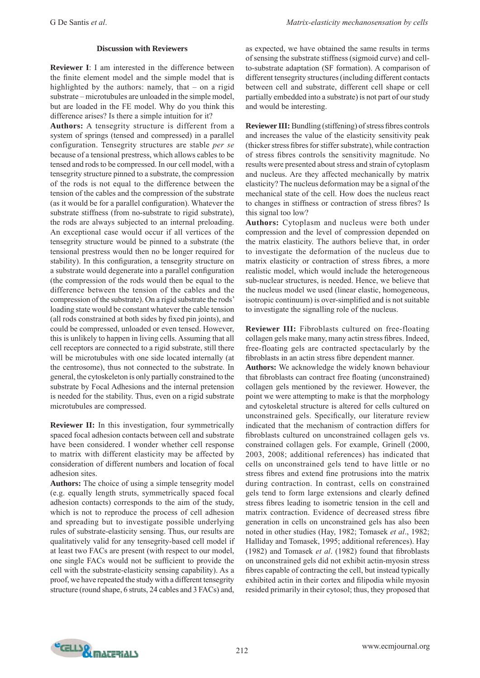## **Discussion with Reviewers**

**Reviewer I**: I am interested in the difference between the finite element model and the simple model that is highlighted by the authors: namely, that – on a rigid substrate – microtubules are unloaded in the simple model, but are loaded in the FE model. Why do you think this difference arises? Is there a simple intuition for it?

**Authors:** A tensegrity structure is different from a system of springs (tensed and compressed) in a parallel configuration. Tensegrity structures are stable *per se*  because of a tensional prestress, which allows cables to be tensed and rods to be compressed. In our cell model, with a tensegrity structure pinned to a substrate, the compression of the rods is not equal to the difference between the tension of the cables and the compression of the substrate (as it would be for a parallel configuration). Whatever the substrate stiffness (from no-substrate to rigid substrate), the rods are always subjected to an internal preloading. An exceptional case would occur if all vertices of the tensegrity structure would be pinned to a substrate (the tensional prestress would then no be longer required for stability). In this configuration, a tensegrity structure on a substrate would degenerate into a parallel configuration (the compression of the rods would then be equal to the difference between the tension of the cables and the compression of the substrate). On a rigid substrate the rods' loading state would be constant whatever the cable tension (all rods constrained at both sides by fixed pin joints), and could be compressed, unloaded or even tensed. However, this is unlikely to happen in living cells. Assuming that all cell receptors are connected to a rigid substrate, still there will be microtubules with one side located internally (at the centrosome), thus not connected to the substrate. In general, the cytoskeleton is only partially constrained to the substrate by Focal Adhesions and the internal pretension is needed for the stability. Thus, even on a rigid substrate microtubules are compressed.

**Reviewer II:** In this investigation, four symmetrically spaced focal adhesion contacts between cell and substrate have been considered. I wonder whether cell response to matrix with different elasticity may be affected by consideration of different numbers and location of focal adhesion sites.

**Authors:** The choice of using a simple tensegrity model (e.g. equally length struts, symmetrically spaced focal adhesion contacts) corresponds to the aim of the study, which is not to reproduce the process of cell adhesion and spreading but to investigate possible underlying rules of substrate-elasticity sensing. Thus, our results are qualitatively valid for any tensegrity-based cell model if at least two FACs are present (with respect to our model, one single FACs would not be sufficient to provide the cell with the substrate-elasticity sensing capability). As a proof, we have repeated the study with a different tensegrity structure (round shape, 6 struts, 24 cables and 3 FACs) and,

as expected, we have obtained the same results in terms of sensing the substrate stiffness (sigmoid curve) and cellto-substrate adaptation (SF formation). A comparison of different tensegrity structures (including different contacts between cell and substrate, different cell shape or cell partially embedded into a substrate) is not part of our study and would be interesting.

**Reviewer III:** Bundling (stiffening) of stress fibres controls and increases the value of the elasticity sensitivity peak (thicker stress fibres for stiffer substrate), while contraction of stress fibres controls the sensitivity magnitude. No results were presented about stress and strain of cytoplasm and nucleus. Are they affected mechanically by matrix elasticity? The nucleus deformation may be a signal of the mechanical state of the cell. How does the nucleus react to changes in stiffness or contraction of stress fibres? Is this signal too low?

**Authors:** Cytoplasm and nucleus were both under compression and the level of compression depended on the matrix elasticity. The authors believe that, in order to investigate the deformation of the nucleus due to matrix elasticity or contraction of stress fibres, a more realistic model, which would include the heterogeneous sub-nuclear structures, is needed. Hence, we believe that the nucleus model we used (linear elastic, homogeneous, isotropic continuum) is over-simplified and is not suitable to investigate the signalling role of the nucleus.

**Reviewer III:** Fibroblasts cultured on free-floating collagen gels make many, many actin stress fibres. Indeed, free-floating gels are contracted spectacularly by the fibroblasts in an actin stress fibre dependent manner. **Authors:** We acknowledge the widely known behaviour

that fibroblasts can contract free floating (unconstrained) collagen gels mentioned by the reviewer. However, the point we were attempting to make is that the morphology and cytoskeletal structure is altered for cells cultured on unconstrained gels. Specifically, our literature review indicated that the mechanism of contraction differs for fibroblasts cultured on unconstrained collagen gels vs. constrained collagen gels. For example, Grinell (2000, 2003, 2008; additional references) has indicated that cells on unconstrained gels tend to have little or no stress fibres and extend fine protrusions into the matrix during contraction. In contrast, cells on constrained gels tend to form large extensions and clearly defined stress fibres leading to isometric tension in the cell and matrix contraction. Evidence of decreased stress fibre generation in cells on unconstrained gels has also been noted in other studies (Hay, 1982; Tomasek *et al*., 1982; Halliday and Tomasek, 1995; additional references). Hay (1982) and Tomasek  $et$   $al$ . (1982) found that fibroblasts on unconstrained gels did not exhibit actin-myosin stress fibres capable of contracting the cell, but instead typically exhibited actin in their cortex and filipodia while myosin resided primarily in their cytosol; thus, they proposed that